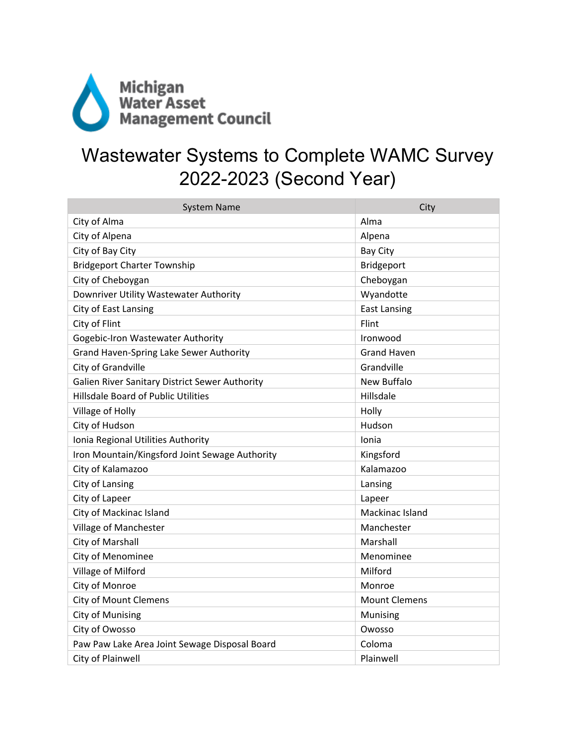

## Wastewater Systems to Complete WAMC Survey 2022-2023 (Second Year)

| <b>System Name</b>                             | City                 |
|------------------------------------------------|----------------------|
| City of Alma                                   | Alma                 |
| City of Alpena                                 | Alpena               |
| City of Bay City                               | <b>Bay City</b>      |
| <b>Bridgeport Charter Township</b>             | Bridgeport           |
| City of Cheboygan                              | Cheboygan            |
| Downriver Utility Wastewater Authority         | Wyandotte            |
| City of East Lansing                           | <b>East Lansing</b>  |
| City of Flint                                  | <b>Flint</b>         |
| Gogebic-Iron Wastewater Authority              | Ironwood             |
| Grand Haven-Spring Lake Sewer Authority        | <b>Grand Haven</b>   |
| City of Grandville                             | Grandville           |
| Galien River Sanitary District Sewer Authority | <b>New Buffalo</b>   |
| <b>Hillsdale Board of Public Utilities</b>     | Hillsdale            |
| Village of Holly                               | Holly                |
| City of Hudson                                 | Hudson               |
| Ionia Regional Utilities Authority             | Ionia                |
| Iron Mountain/Kingsford Joint Sewage Authority | Kingsford            |
| City of Kalamazoo                              | Kalamazoo            |
| City of Lansing                                | Lansing              |
| City of Lapeer                                 | Lapeer               |
| City of Mackinac Island                        | Mackinac Island      |
| Village of Manchester                          | Manchester           |
| City of Marshall                               | Marshall             |
| City of Menominee                              | Menominee            |
| Village of Milford                             | Milford              |
| City of Monroe                                 | Monroe               |
| <b>City of Mount Clemens</b>                   | <b>Mount Clemens</b> |
| <b>City of Munising</b>                        | Munising             |
| City of Owosso                                 | Owosso               |
| Paw Paw Lake Area Joint Sewage Disposal Board  | Coloma               |
| City of Plainwell                              | Plainwell            |